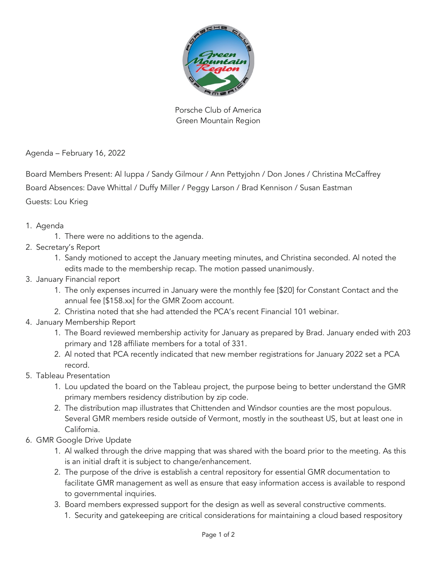

Porsche Club of America Green Mountain Region

Agenda – February 16, 2022

Board Members Present: Al Iuppa / Sandy Gilmour / Ann Pettyjohn / Don Jones / Christina McCaffrey

Board Absences: Dave Whittal / Duffy Miller / Peggy Larson / Brad Kennison / Susan Eastman

Guests: Lou Krieg

- 1. Agenda
	- 1. There were no additions to the agenda.
- 2. Secretary's Report
	- 1. Sandy motioned to accept the January meeting minutes, and Christina seconded. Al noted the edits made to the membership recap. The motion passed unanimously.
- 3. January Financial report
	- 1. The only expenses incurred in January were the monthly fee [\$20] for Constant Contact and the annual fee [\$158.xx] for the GMR Zoom account.
	- 2. Christina noted that she had attended the PCA's recent Financial 101 webinar.
- 4. January Membership Report
	- 1. The Board reviewed membership activity for January as prepared by Brad. January ended with 203 primary and 128 affiliate members for a total of 331.
	- 2. Al noted that PCA recently indicated that new member registrations for January 2022 set a PCA record.
- 5. Tableau Presentation
	- 1. Lou updated the board on the Tableau project, the purpose being to better understand the GMR primary members residency distribution by zip code.
	- 2. The distribution map illustrates that Chittenden and Windsor counties are the most populous. Several GMR members reside outside of Vermont, mostly in the southeast US, but at least one in California.
- 6. GMR Google Drive Update
	- 1. Al walked through the drive mapping that was shared with the board prior to the meeting. As this is an initial draft it is subject to change/enhancement.
	- 2. The purpose of the drive is establish a central repository for essential GMR documentation to facilitate GMR management as well as ensure that easy information access is available to respond to governmental inquiries.
	- 3. Board members expressed support for the design as well as several constructive comments.
		- 1. Security and gatekeeping are critical considerations for maintaining a cloud based respository